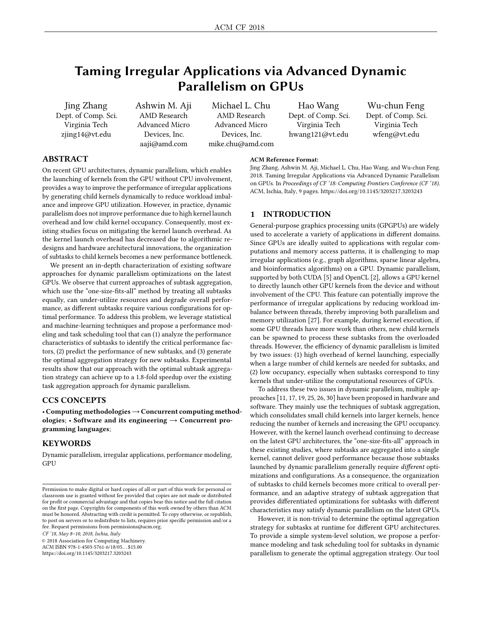# Taming Irregular Applications via Advanced Dynamic Parallelism on GPUs

Jing Zhang Dept. of Comp. Sci. Virginia Tech zjing14@vt.edu

Ashwin M. Aji AMD Research Advanced Micro Devices, Inc. aaji@amd.com

Michael L. Chu AMD Research Advanced Micro Devices, Inc. mike.chu@amd.com

Hao Wang Dept. of Comp. Sci. Virginia Tech hwang121@vt.edu

Wu-chun Feng Dept. of Comp. Sci. Virginia Tech wfeng@vt.edu

# ABSTRACT

On recent GPU architectures, dynamic parallelism, which enables the launching of kernels from the GPU without CPU involvement, provides a way to improve the performance of irregular applications by generating child kernels dynamically to reduce workload imbalance and improve GPU utilization. However, in practice, dynamic parallelism does not improve performance due to high kernel launch overhead and low child kernel occupancy. Consequently, most existing studies focus on mitigating the kernel launch overhead. As the kernel launch overhead has decreased due to algorithmic redesigns and hardware architectural innovations, the organization of subtasks to child kernels becomes a new performance bottleneck.

We present an in-depth characterization of existing software approaches for dynamic parallelism optimizations on the latest GPUs. We observe that current approaches of subtask aggregation, which use the "one-size-fits-all" method by treating all subtasks equally, can under-utilize resources and degrade overall performance, as different subtasks require various configurations for optimal performance. To address this problem, we leverage statistical and machine-learning techniques and propose a performance modeling and task scheduling tool that can (1) analyze the performance characteristics of subtasks to identify the critical performance factors, (2) predict the performance of new subtasks, and (3) generate the optimal aggregation strategy for new subtasks. Experimental results show that our approach with the optimal subtask aggregation strategy can achieve up to a 1.8-fold speedup over the existing task aggregation approach for dynamic parallelism.

# CCS CONCEPTS

• Computing methodologies→Concurrent computing methodologies; • Software and its engineering  $\rightarrow$  Concurrent programming languages;

# KEYWORDS

Dynamic parallelism, irregular applications, performance modeling, **GPU** 

CF '18, May 8–10, 2018, Ischia, Italy

© 2018 Association for Computing Machinery.

ACM ISBN 978-1-4503-5761-6/18/05. . . \$15.00 <https://doi.org/10.1145/3203217.3203243>

#### ACM Reference Format:

Jing Zhang, Ashwin M. Aji, Michael L. Chu, Hao Wang, and Wu-chun Feng. 2018. Taming Irregular Applications via Advanced Dynamic Parallelism on GPUs. In Proceedings of CF '18: Computing Frontiers Conference (CF '18). ACM, Ischia, Italy, [9](#page-8-0) pages.<https://doi.org/10.1145/3203217.3203243>

# 1 INTRODUCTION

General-purpose graphics processing units (GPGPUs) are widely used to accelerate a variety of applications in different domains. Since GPUs are ideally suited to applications with regular computations and memory access patterns, it is challenging to map irregular applications (e.g., graph algorithms, sparse linear algebra, and bioinformatics algorithms) on a GPU. Dynamic parallelism, supported by both CUDA [\[5\]](#page-8-1) and OpenCL [\[2\]](#page-8-2), allows a GPU kernel to directly launch other GPU kernels from the device and without involvement of the CPU. This feature can potentially improve the performance of irregular applications by reducing workload imbalance between threads, thereby improving both parallelism and memory utilization [\[27\]](#page-8-3). For example, during kernel execution, if some GPU threads have more work than others, new child kernels can be spawned to process these subtasks from the overloaded threads. However, the efficiency of dynamic parallelism is limited by two issues: (1) high overhead of kernel launching, especially when a large number of child kernels are needed for subtasks, and (2) low occupancy, especially when subtasks correspond to tiny kernels that under-utilize the computational resources of GPUs.

To address these two issues in dynamic parallelism, multiple approaches [\[11,](#page-8-4) [17,](#page-8-5) [19,](#page-8-6) [25,](#page-8-7) [26,](#page-8-8) [30\]](#page-8-9) have been proposed in hardware and software. They mainly use the techniques of subtask aggregation, which consolidates small child kernels into larger kernels, hence reducing the number of kernels and increasing the GPU occupancy. However, with the kernel launch overhead continuing to decrease on the latest GPU architectures, the "one-size-fits-all" approach in these existing studies, where subtasks are aggregated into a single kernel, cannot deliver good performance because those subtasks launched by dynamic parallelism generally require different optimizations and configurations. As a consequence, the organization of subtasks to child kernels becomes more critical to overall performance, and an adaptive strategy of subtask aggregation that provides differentiated optimizations for subtasks with different characteristics may satisfy dynamic parallelism on the latest GPUs.

However, it is non-trivial to determine the optimal aggregation strategy for subtasks at runtime for different GPU architectures. To provide a simple system-level solution, we propose a performance modeling and task scheduling tool for subtasks in dynamic parallelism to generate the optimal aggregation strategy. Our tool

Permission to make digital or hard copies of all or part of this work for personal or classroom use is granted without fee provided that copies are not made or distributed for profit or commercial advantage and that copies bear this notice and the full citation on the first page. Copyrights for components of this work owned by others than ACM must be honored. Abstracting with credit is permitted. To copy otherwise, or republish, to post on servers or to redistribute to lists, requires prior specific permission and/or a fee. Request permissions from permissions@acm.org.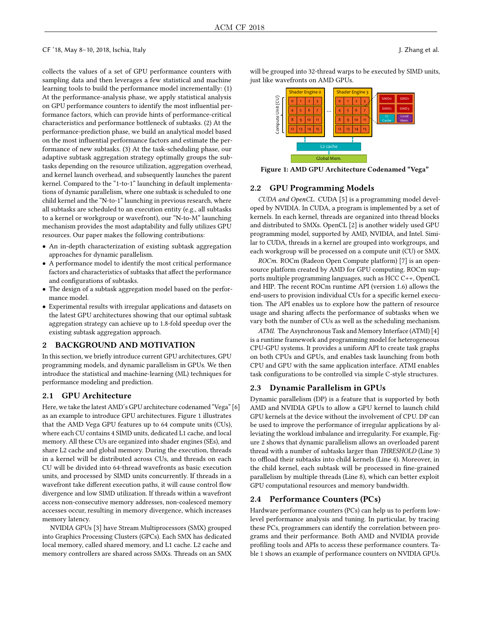collects the values of a set of GPU performance counters with sampling data and then leverages a few statistical and machine learning tools to build the performance model incrementally: (1) At the performance-analysis phase, we apply statistical analysis on GPU performance counters to identify the most influential performance factors, which can provide hints of performance-critical characteristics and performance bottleneck of subtasks. (2) At the performance-prediction phase, we build an analytical model based on the most influential performance factors and estimate the performance of new subtasks. (3) At the task-scheduling phase, our adaptive subtask aggregation strategy optimally groups the subtasks depending on the resource utilization, aggregation overhead, and kernel launch overhead, and subsequently launches the parent kernel. Compared to the "1-to-1" launching in default implementations of dynamic parallelism, where one subtask is scheduled to one child kernel and the "N-to-1" launching in previous research, where all subtasks are scheduled to an execution entity (e.g., all subtasks to a kernel or workgroup or wavefront), our "N-to-M" launching mechanism provides the most adaptability and fully utilizes GPU resources. Our paper makes the following contributions:

- An in-depth characterization of existing subtask aggregation approaches for dynamic parallelism.
- A performance model to identify the most critical performance factors and characteristics of subtasks that affect the performance and configurations of subtasks.
- The design of a subtask aggregation model based on the performance model.
- Experimental results with irregular applications and datasets on the latest GPU architectures showing that our optimal subtask aggregation strategy can achieve up to 1.8-fold speedup over the existing subtask aggregation approach.

# 2 BACKGROUND AND MOTIVATION

In this section, we briefly introduce current GPU architectures, GPU programming models, and dynamic parallelism in GPUs. We then introduce the statistical and machine-learning (ML) techniques for performance modeling and prediction.

#### 2.1 GPU Architecture

Here, we take the latest AMD's GPU architecture codenamed "Vega" [\[6\]](#page-8-10) as an example to introduce GPU architectures. Figure [1](#page-1-0) illustrates that the AMD Vega GPU features up to 64 compute units (CUs), where each CU contains 4 SIMD units, dedicated L1 cache, and local memory. All these CUs are organized into shader engines (SEs), and share L2 cache and global memory. During the execution, threads in a kernel will be distributed across CUs, and threads on each CU will be divided into 64-thread wavefronts as basic execution units, and processed by SIMD units concurrently. If threads in a wavefront take different execution paths, it will cause control flow divergence and low SIMD utilization. If threads within a wavefront access non-consecutive memory addresses, non-coalesced memory accesses occur, resulting in memory divergence, which increases memory latency.

NVIDIA GPUs [\[3\]](#page-8-11) have Stream Multiprocessors (SMX) grouped into Graphics Processing Clusters (GPCs). Each SMX has dedicated local memory, called shared memory, and L1 cache. L2 cache and memory controllers are shared across SMXs. Threads on an SMX

<span id="page-1-0"></span>will be grouped into 32-thread warps to be executed by SIMD units, just like wavefronts on AMD GPUs.



Figure 1: AMD GPU Architecture Codenamed "Vega"

# 2.2 GPU Programming Models

CUDA and OpenCL. CUDA [\[5\]](#page-8-1) is a programming model developed by NVIDIA. In CUDA, a program is implemented by a set of kernels. In each kernel, threads are organized into thread blocks and distributed to SMXs. OpenCL [\[2\]](#page-8-2) is another widely used GPU programming model, supported by AMD, NVIDIA, and Intel. Similar to CUDA, threads in a kernel are grouped into workgroups, and each workgroup will be processed on a compute unit (CU) or SMX.

ROCm. ROCm (Radeon Open Compute platform) [\[7\]](#page-8-12) is an opensource platform created by AMD for GPU computing. ROCm supports multiple programming languages, such as HCC C++, OpenCL and HIP. The recent ROCm runtime API (version 1.6) allows the end-users to provision individual CUs for a specific kernel execution. The API enables us to explore how the pattern of resource usage and sharing affects the performance of subtasks when we vary both the number of CUs as well as the scheduling mechanism.

ATMI. The Asynchronous Task and Memory Interface (ATMI) [\[4\]](#page-8-13) is a runtime framework and programming model for heterogeneous CPU-GPU systems. It provides a uniform API to create task graphs on both CPUs and GPUs, and enables task launching from both CPU and GPU with the same application interface. ATMI enables task configurations to be controlled via simple C-style structures.

### 2.3 Dynamic Parallelism in GPUs

Dynamic parallelism (DP) is a feature that is supported by both AMD and NVIDIA GPUs to allow a GPU kernel to launch child GPU kernels at the device without the involvement of CPU. DP can be used to improve the performance of irregular applications by alleviating the workload imbalance and irregularity. For example, Figure [2](#page-2-0) shows that dynamic parallelism allows an overloaded parent thread with a number of subtasks larger than THRESHOLD (Line [3\)](#page-2-1) to offload their subtasks into child kernels (Line [4\)](#page-2-2). Moreover, in the child kernel, each subtask will be processed in fine-grained parallelism by multiple threads (Line [8\)](#page-2-3), which can better exploit GPU computational resources and memory bandwidth.

#### 2.4 Performance Counters (PCs)

Hardware performance counters (PCs) can help us to perform lowlevel performance analysis and tuning. In particular, by tracing these PCs, programmers can identify the correlation between programs and their performance. Both AMD and NVIDIA provide profiling tools and APIs to access these performance counters. Table [1](#page-3-0) shows an example of performance counters on NVIDIA GPUs.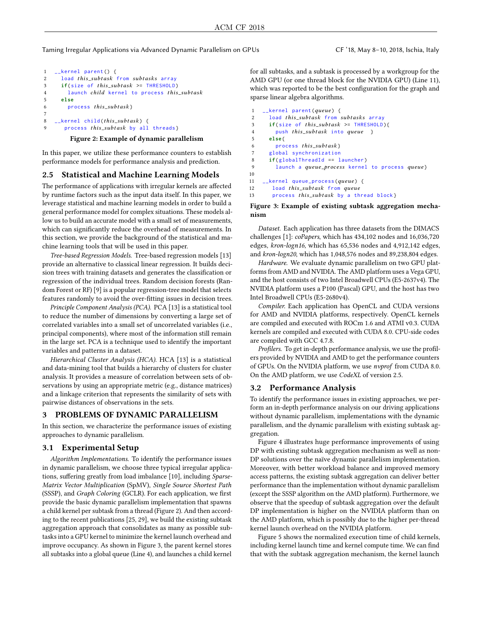Taming Irregular Applications via Advanced Dynamic Parallelism on GPUs CF '18, May 8–10, 2018, Ischia, Italy

```
1 __kernel parent () {
2 load this_subtask from subtasks array<br>3 if(size of this subtask >= THRESHOLD
\mathbf{i} if(\text{size of this\_subtask} > = \text{THESHOLD})<br>
\mathbf{4} launch child kernel to process this
4 launch child kernel to process this_subtask<br>5 else
         5 else
6 process this_subtask}
7
8 \leftarrow kernel child (this_subtask) {<br>9 	 process this subtask by all
          process this_subtask by all threads }
```
<span id="page-2-3"></span>Figure 2: Example of dynamic parallelism

In this paper, we utilize these performance counters to establish performance models for performance analysis and prediction.

# 2.5 Statistical and Machine Learning Models

The performance of applications with irregular kernels are affected by runtime factors such as the input data itself. In this paper, we leverage statistical and machine learning models in order to build a general performance model for complex situations. These models allow us to build an accurate model with a small set of measurements, which can significantly reduce the overhead of measurements. In this section, we provide the background of the statistical and machine learning tools that will be used in this paper.

Tree-based Regression Models. Tree-based regression models [\[13\]](#page-8-14) provide an alternative to classical linear regression. It builds decision trees with training datasets and generates the classification or regression of the individual trees. Random decision forests (Random Forest or RF) [\[9\]](#page-8-15) is a popular regression-tree model that selects features randomly to avoid the over-fitting issues in decision trees.

Principle Component Analysis (PCA). PCA [\[13\]](#page-8-14) is a statistical tool to reduce the number of dimensions by converting a large set of correlated variables into a small set of uncorrelated variables (i.e., principal components), where most of the information still remain in the large set. PCA is a technique used to identify the important variables and patterns in a dataset.

Hierarchical Cluster Analysis (HCA). HCA [\[13\]](#page-8-14) is a statistical and data-mining tool that builds a hierarchy of clusters for cluster analysis. It provides a measure of correlation between sets of observations by using an appropriate metric (e.g., distance matrices) and a linkage criterion that represents the similarity of sets with pairwise distances of observations in the sets.

# 3 PROBLEMS OF DYNAMIC PARALLELISM

In this section, we characterize the performance issues of existing approaches to dynamic parallelism.

#### 3.1 Experimental Setup

Algorithm Implementations. To identify the performance issues in dynamic parallelism, we choose three typical irregular applications, suffering greatly from load imbalance [\[10\]](#page-8-16), including Sparse-Matrix Vector Multiplication (SpMV), Single Source Shortest Path (SSSP), and Graph Coloring (GCLR). For each application, we first provide the basic dynamic parallelism implementation that spawns a child kernel per subtask from a thread (Figure [2\)](#page-2-0). And then according to the recent publications [\[25,](#page-8-7) [29\]](#page-8-17), we build the existing subtask aggregation approach that consolidates as many as possible subtasks into a GPU kernel to minimize the kernel launch overhead and improve occupancy. As shown in Figure [3,](#page-2-4) the parent kernel stores all subtasks into a global queue (Line [4\)](#page-2-5), and launches a child kernel

for all subtasks, and a subtask is processed by a workgroup for the AMD GPU (or one thread block for the NVIDIA GPU) (Line [11\)](#page-2-6), which was reported to be the best configuration for the graph and sparse linear algebra algorithms.

```
1 __kernel parent (queue) {<br>2 load this_subtask from :
2 load this_subtask from subtasks array<br>3 if(size of this_subtask >= THRESHOLD)
 3 if(size of this_subtask >= THRESHOLD){<br>4 	 push this subtask into queue }
 4 push this_subtask into queue }<br>5 else{
         5 else {
 6 process this_subtask }<br>
7 alohal synchronization
         global synchronization
 8 if( globalThreadId == launcher )
 9 launch a queue_process kernel to process queue}
10
11 \leftarrow kernel queue_process (queue) {<br>12 \leftarrow load this subtask from queue
12 load this_subtask from queue<br>13 process this subtask by a th
           process this_subtask by a thread block}
```
#### <span id="page-2-6"></span>Figure 3: Example of existing subtask aggregation mechanism

Dataset. Each application has three datasets from the DIMACS challenges [\[1\]](#page-8-18): coPapers, which has 434,102 nodes and 16,036,720 edges, kron-logn16, which has 65,536 nodes and 4,912,142 edges, and kron-logn20, which has 1,048,576 nodes and 89,238,804 edges.

Hardware. We evaluate dynamic parallelism on two GPU platforms from AMD and NVIDIA. The AMD platform uses a Vega GPU, and the host consists of two Intel Broadwell CPUs (E5-2637v4). The NVIDIA platform uses a P100 (Pascal) GPU, and the host has two Intel Broadwell CPUs (E5-2680v4).

Compiler. Each application has OpenCL and CUDA versions for AMD and NVIDIA platforms, respectively. OpenCL kernels are compiled and executed with ROCm 1.6 and ATMI v0.3. CUDA kernels are compiled and executed with CUDA 8.0. CPU-side codes are compiled with GCC 4.7.8.

Profilers. To get in-depth performance analysis, we use the profilers provided by NVIDIA and AMD to get the performance counters of GPUs. On the NVIDIA platform, we use nvprof from CUDA 8.0. On the AMD platform, we use CodeXL of version 2.5.

### 3.2 Performance Analysis

To identify the performance issues in existing approaches, we perform an in-depth performance analysis on our driving applications without dynamic parallelism, implementations with the dynamic parallelism, and the dynamic parallelism with existing subtask aggregation.

Figure [4](#page-3-1) illustrates huge performance improvements of using DP with existing subtask aggregation mechanism as well as non-DP solutions over the naïve dynamic parallelism implementation. Moreover, with better workload balance and improved memory access patterns, the existing subtask aggregation can deliver better performance than the implementation without dynamic parallelism (except the SSSP algorithm on the AMD platform). Furthermore, we observe that the speedup of subtask aggregation over the default DP implementation is higher on the NVIDIA platform than on the AMD platform, which is possibly due to the higher per-thread kernel launch overhead on the NVIDIA platform.

Figure [5](#page-3-2) shows the normalized execution time of child kernels, including kernel launch time and kernel compute time. We can find that with the subtask aggregation mechanism, the kernel launch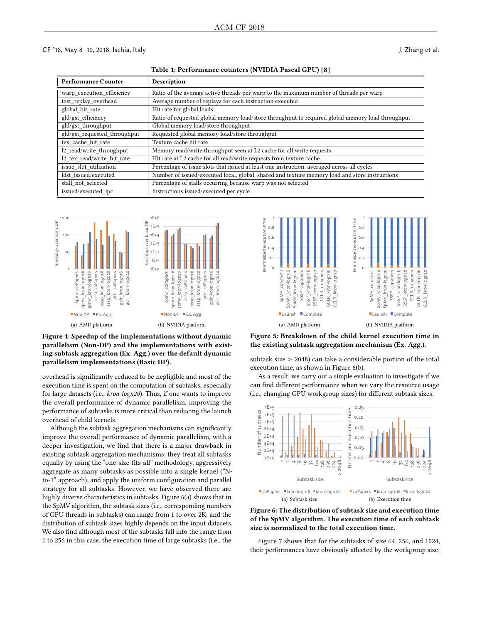Table 1: Performance counters (NVIDIA Pascal GPU) [\[8\]](#page-8-19)

<span id="page-3-0"></span>

| <b>Performance Counter</b>   | Description                                                                                      |
|------------------------------|--------------------------------------------------------------------------------------------------|
| warp execution efficiency    | Ratio of the average active threads per warp to the maximum number of threads per warp           |
| inst replay overhead         | Average number of replays for each instruction executed                                          |
| global hit rate              | Hit rate for global loads                                                                        |
| gld/gst efficiency           | Ratio of requested global memory load/store throughput to required global memory load throughput |
| gld/gst_throughput           | Global memory load/store throughput                                                              |
| gld/gst requested throughput | Requested global memory load/store throughput                                                    |
| tex cache hit rate           | Texture cache hit rate                                                                           |
| 12 read/write throughput     | Memory read/write throughput seen at L2 cache for all write requests                             |
| 12 tex read/write hit rate   | Hit rate at L2 cache for all read/write requests from texture cache.                             |
| issue slot utilization       | Percentage of issue slots that issued at least one instruction, averaged across all cycles       |
| ldst issued/executed         | Number of issued/executed local, global, shared and texture memory load and store instructions   |
| stall not selected           | Percentage of stalls occurring because warp was not selected                                     |
| issued/executed ipc          | Instructions issued/executed per cycle                                                           |

<span id="page-3-1"></span>

Figure 4: Speedup of the implementations without dynamic parallelism (Non-DP) and the implementations with existing subtask aggregation (Ex. Agg.) over the default dynamic parallelism implementations (Basic DP).

overhead is significantly reduced to be negligible and most of the execution time is spent on the computation of subtasks, especially for large datasets (i.e., kron-logn20). Thus, if one wants to improve the overall performance of dynamic parallelism, improving the performance of subtasks is more critical than reducing the launch overhead of child kernels.

Although the subtask aggregation mechanisms can significantly improve the overall performance of dynamic parallelism, with a deeper investigation, we find that there is a major drawback in existing subtask aggregation mechanisms: they treat all subtasks equally by using the "one-size-fits-all" methodology, aggressively aggregate as many subtasks as possible into a single kernel ("Nto-1" approach), and apply the uniform configuration and parallel strategy for all subtasks. However, we have observed there are highly diverse characteristics in subtasks. Figure [6\(a\)](#page-3-3) shows that in the SpMV algorithm, the subtask sizes (i.e., corresponding numbers of GPU threads in subtasks) can range from 1 to over 2K; and the distribution of subtask sizes highly depends on the input datasets. We also find although most of the subtasks fall into the range from 1 to 256 in this case, the execution time of large subtasks (i.e., the

<span id="page-3-2"></span>

Figure 5: Breakdown of the child kernel execution time in the existing subtask aggregation mechanism (Ex. Agg.).

subtask size > 2048) can take a considerable portion of the total execution time, as shown in Figure [6\(b\).](#page-3-4)

As a result, we carry out a simple evaluation to investigate if we can find different performance when we vary the resource usage (i.e., changing GPU workgroup sizes) for different subtask sizes.

<span id="page-3-3"></span>

<span id="page-3-4"></span>Figure 6: The distribution of subtask size and execution time of the SpMV algorithm. The execution time of each subtask size is normalized to the total execution time.

Figure [7](#page-4-0) shows that for the subtasks of size 64, 256, and 1024, their performances have obviously affected by the workgroup size;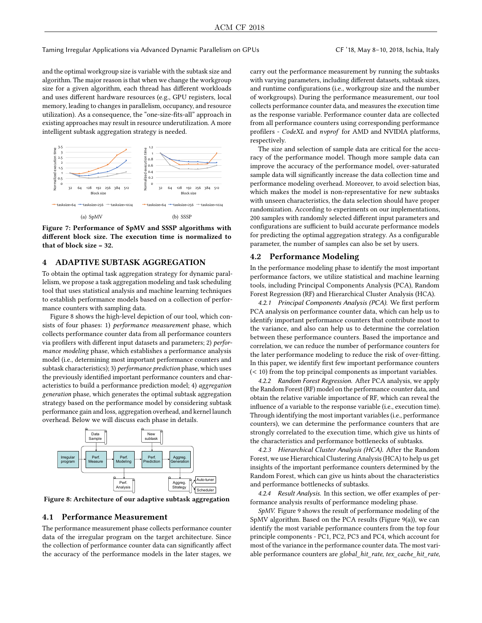Taming Irregular Applications via Advanced Dynamic Parallelism on GPUs CF '18, May 8–10, 2018, Ischia, Italy

and the optimal workgroup size is variable with the subtask size and algorithm. The major reason is that when we change the workgroup size for a given algorithm, each thread has different workloads and uses different hardware resources (e.g., GPU registers, local memory, leading to changes in parallelism, occupancy, and resource utilization). As a consequence, the "one-size-fits-all" approach in existing approaches may result in resource underutilization. A more intelligent subtask aggregation strategy is needed.

<span id="page-4-0"></span>

Figure 7: Performance of SpMV and SSSP algorithms with different block size. The execution time is normalized to that of block size = 32.

# 4 ADAPTIVE SUBTASK AGGREGATION

To obtain the optimal task aggregation strategy for dynamic parallelism, we propose a task aggregation modeling and task scheduling tool that uses statistical analysis and machine learning techniques to establish performance models based on a collection of performance counters with sampling data.

Figure [8](#page-4-1) shows the high-level depiction of our tool, which consists of four phases: 1) *performance measurement* phase, which collects performance counter data from all performance counters via profilers with different input datasets and parameters; 2) performance modeling phase, which establishes a performance analysis model (i.e., determining most important performance counters and subtask characteristics); 3) performance prediction phase, which uses the previously identified important performance counters and characteristics to build a performance prediction model; 4) aggregation generation phase, which generates the optimal subtask aggregation strategy based on the performance model by considering subtask performance gain and loss, aggregation overhead, and kernel launch overhead. Below we will discuss each phase in details.

<span id="page-4-1"></span>

Figure 8: Architecture of our adaptive subtask aggregation

# 4.1 Performance Measurement

The performance measurement phase collects performance counter data of the irregular program on the target architecture. Since the collection of performance counter data can significantly affect the accuracy of the performance models in the later stages, we carry out the performance measurement by running the subtasks with varying parameters, including different datasets, subtask sizes, and runtime configurations (i.e., workgroup size and the number of workgroups). During the performance measurement, our tool collects performance counter data, and measures the execution time as the response variable. Performance counter data are collected from all performance counters using corresponding performance profilers - CodeXL and nvprof for AMD and NVIDIA platforms, respectively.

The size and selection of sample data are critical for the accuracy of the performance model. Though more sample data can improve the accuracy of the performance model, over-saturated sample data will significantly increase the data collection time and performance modeling overhead. Moreover, to avoid selection bias, which makes the model is non-representative for new subtasks with unseen characteristics, the data selection should have proper randomization. According to experiments on our implementations, 200 samples with randomly selected different input parameters and configurations are sufficient to build accurate performance models for predicting the optimal aggregation strategy. As a configurable parameter, the number of samples can also be set by users.

#### 4.2 Performance Modeling

In the performance modeling phase to identify the most important performance factors, we utilize statistical and machine learning tools, including Principal Components Analysis (PCA), Random Forest Regression (RF) and Hierarchical Cluster Analysis (HCA).

4.2.1 Principal Components Analysis (PCA). We first perform PCA analysis on performance counter data, which can help us to identify important performance counters that contribute most to the variance, and also can help us to determine the correlation between these performance counters. Based the importance and correlation, we can reduce the number of performance counters for the later performance modeling to reduce the risk of over-fitting. In this paper, we identify first few important performance counters (< 10) from the top principal components as important variables.

4.2.2 Random Forest Regression. After PCA analysis, we apply the Random Forest (RF) model on the performance counter data, and obtain the relative variable importance of RF, which can reveal the influence of a variable to the response variable (i.e., execution time). Through identifying the most important variables (i.e., performance counters), we can determine the performance counters that are strongly correlated to the execution time, which give us hints of the characteristics and performance bottlenecks of subtasks.

4.2.3 Hierarchical Cluster Analysis (HCA). After the Random Forest, we use Hierarchical Clustering Analysis (HCA) to help us get insights of the important performance counters determined by the Random Forest, which can give us hints about the characteristics and performance bottlenecks of subtasks.

4.2.4 Result Analysis. In this section, we offer examples of performance analysis results of performance modeling phase.

SpMV. Figure [9](#page-6-0) shows the result of performance modeling of the SpMV algorithm. Based on the PCA results (Figure [9\(a\)\)](#page-6-1), we can identify the most variable performance counters from the top four principle components - PC1, PC2, PC3 and PC4, which account for most of the variance in the performance counter data. The most variable performance counters are global\_hit\_rate, tex\_cache\_hit\_rate,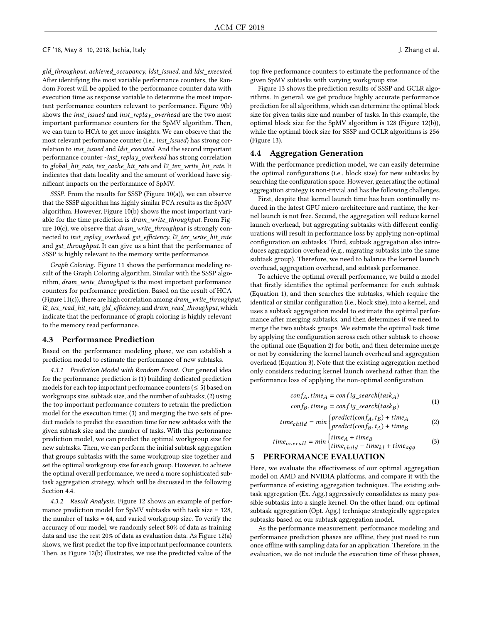gld\_throughput, achieved\_occupancy, ldst\_issued, and ldst\_executed. After identifying the most variable performance counters, the Random Forest will be applied to the performance counter data with execution time as response variable to determine the most important performance counters relevant to performance. Figure [9\(b\)](#page-6-2) shows the *inst* issued and inst replay overhead are the two most important performance counters for the SpMV algorithm. Then, we can turn to HCA to get more insights. We can observe that the most relevant performance counter (i.e., inst\_issued) has strong correlation to inst\_issued and ldst\_executed. And the second important performance counter -inst\_replay\_overhead has strong correlation to global\_hit\_rate, tex\_cache\_hit\_rate and l2\_tex\_write\_hit\_rate. It indicates that data locality and the amount of workload have significant impacts on the performance of SpMV.

SSSP. From the results for SSSP (Figure [10\(a\)\)](#page-6-3), we can observe that the SSSP algorithm has highly similar PCA results as the SpMV algorithm. However, Figure [10\(b\)](#page-6-4) shows the most important variable for the time prediction is dram\_write\_throughput. From Fig-ure [10\(c\),](#page-6-5) we observe that *dram\_write\_throughput* is strongly connected to inst\_replay\_overhead, gst\_efficiency, l2\_tex\_write\_hit\_rate and  $gst\_throughput$ . It can give us a hint that the performance of SSSP is highly relevant to the memory write performance.

Graph Coloring. Figure [11](#page-6-6) shows the performance modeling result of the Graph Coloring algorithm. Similar with the SSSP algorithm, dram\_write\_throughput is the most important performance counters for performance prediction. Based on the result of HCA (Figure [11\(c\)\)](#page-6-7), there are high correlation among  $dram\_write\_throughput$ , l2\_tex\_read\_hit\_rate, gld\_efficiency, and dram\_read\_throughput, which indicate that the performance of graph coloring is highly relevant to the memory read performance.

# 4.3 Performance Prediction

Based on the performance modeling phase, we can establish a prediction model to estimate the performance of new subtasks.

4.3.1 Prediction Model with Random Forest. Our general idea for the performance prediction is (1) building dedicated prediction models for each top important performance counters  $(\leq 5)$  based on workgroups size, subtask size, and the number of subtasks; (2) using the top important performance counters to retrain the prediction model for the execution time; (3) and merging the two sets of predict models to predict the execution time for new subtasks with the given subtask size and the number of tasks. With this performance prediction model, we can predict the optimal workgroup size for new subtasks. Then, we can perform the initial subtask aggregation that groups subtasks with the same workgroup size together and set the optimal workgroup size for each group. However, to achieve the optimal overall performance, we need a more sophisticated subtask aggregation strategy, which will be discussed in the following Section [4.4.](#page-5-0)

4.3.2 Result Analysis. Figure [12](#page-7-0) shows an example of performance prediction model for SpMV subtasks with task size = 128, the number of tasks = 64, and varied workgroup size. To verify the accuracy of our model, we randomly select 80% of data as training data and use the rest 20% of data as evaluation data. As Figure [12\(a\)](#page-7-1) shows, we first predict the top five important performance counters. Then, as Figure [12\(b\)](#page-7-2) illustrates, we use the predicted value of the

top five performance counters to estimate the performance of the given SpMV subtasks with varying workgroup size.

Figure [13](#page-7-3) shows the prediction results of SSSP and GCLR algorithms. In general, we get produce highly accurate performance prediction for all algorithms, which can determine the optimal block size for given tasks size and number of tasks. In this example, the optimal block size for the SpMV algorithm is 128 (Figure [12\(b\)\)](#page-7-2), while the optimal block size for SSSP and GCLR algorithms is 256 (Figure [13\)](#page-7-3).

#### <span id="page-5-0"></span>4.4 Aggregation Generation

With the performance prediction model, we can easily determine the optimal configurations (i.e., block size) for new subtasks by searching the configuration space. However, generating the optimal aggregation strategy is non-trivial and has the following challenges.

First, despite that kernel launch time has been continually reduced in the latest GPU micro-architecture and runtime, the kernel launch is not free. Second, the aggregation will reduce kernel launch overhead, but aggregating subtasks with different configurations will result in performance loss by applying non-optimal configuration on subtasks. Third, subtask aggregation also introduces aggregation overhead (e.g., migrating subtasks into the same subtask group). Therefore, we need to balance the kernel launch overhead, aggregation overhead, and subtask performance.

To achieve the optimal overall performance, we build a model that firstly identifies the optimal performance for each subtask (Equation [1\)](#page-5-1), and then searches the subtasks, which require the identical or similar configuration (i.e., block size), into a kernel, and uses a subtask aggregation model to estimate the optimal performance after merging subtasks, and then determines if we need to merge the two subtask groups. We estimate the optimal task time by applying the configuration across each other subtask to choose the optimal one (Equation [2\)](#page-5-2) for both, and then determine merge or not by considering the kernel launch overhead and aggregation overhead (Equation [3\)](#page-5-3). Note that the existing aggregation method only considers reducing kernel launch overhead rather than the performance loss of applying the non-optimal configuration.

$$
conf_A, time_A = config\_search(task_A)
$$
  
conf\_B, time\_B = config\\_search(task\_B) (1)

<span id="page-5-3"></span><span id="page-5-2"></span><span id="page-5-1"></span>
$$
time_{child} = min \begin{cases} predict(conf_A, t_B) + time_A \\ predict(conf_B, t_A) + time_B \end{cases} \tag{2}
$$

$$
time_{overall} = min \begin{cases} time_A + time_B \\ time_{child} - time_{kl} + time_{agg} \end{cases}
$$
 (3)  
5 PERFORMANCE EVALUATION

Here, we evaluate the effectiveness of our optimal aggregation model on AMD and NVIDIA platforms, and compare it with the performance of existing aggregation techniques. The existing subtask aggregation (Ex. Agg.) aggressively consolidates as many possible subtasks into a single kernel. On the other hand, our optimal subtask aggregation (Opt. Agg.) technique strategically aggregates subtasks based on our subtask aggregation model.

As the performance measurement, performance modeling and performance prediction phases are offline, they just need to run once offline with sampling data for an application. Therefore, in the evaluation, we do not include the execution time of these phases,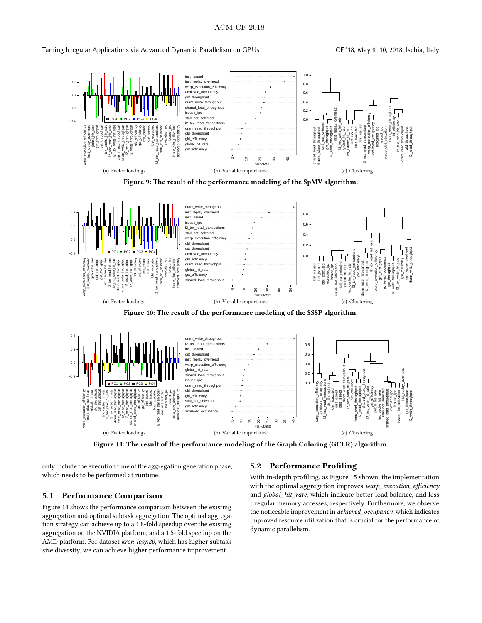Taming Irregular Applications via Advanced Dynamic Parallelism on GPUs CF '18, May 8-10, 2018, Ischia, Italy

<span id="page-6-3"></span><span id="page-6-2"></span><span id="page-6-1"></span><span id="page-6-0"></span>

<span id="page-6-6"></span><span id="page-6-4"></span>

Figure 11: The result of the performance modeling of the Graph Coloring (GCLR) algorithm.

only include the execution time of the aggregation generation phase, which needs to be performed at runtime.

# 5.1 Performance Comparison

Figure [14](#page-7-4) shows the performance comparison between the existing aggregation and optimal subtask aggregation. The optimal aggregation strategy can achieve up to a 1.8-fold speedup over the existing aggregation on the NVIDIA platform, and a 1.5-fold speedup on the AMD platform. For dataset kron-logn20, which has higher subtask size diversity, we can achieve higher performance improvement.

# <span id="page-6-7"></span><span id="page-6-5"></span>5.2 Performance Profiling

With in-depth profiling, as Figure [15](#page-7-5) shown, the implementation with the optimal aggregation improves warp\_execution\_efficiency and global\_hit\_rate, which indicate better load balance, and less irregular memory accesses, respectively. Furthermore, we observe the noticeable improvement in achieved\_occupancy, which indicates improved resource utilization that is crucial for the performance of dynamic parallelism.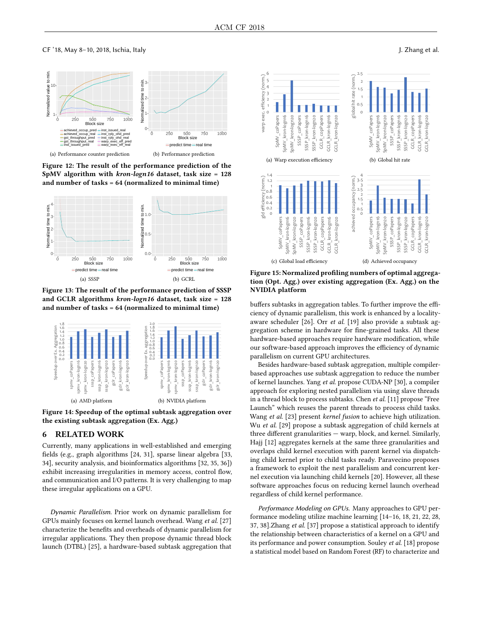<span id="page-7-1"></span><span id="page-7-0"></span>

<span id="page-7-2"></span>Figure 12: The result of the performance prediction of the SpMV algorithm with kron-logn16 dataset, task size = 128 and number of tasks = 64 (normalized to minimal time)

<span id="page-7-3"></span>

Figure 13: The result of the performance prediction of SSSP and GCLR algorithms kron-logn16 dataset, task size = 128 and number of tasks = 64 (normalized to minimal time)

<span id="page-7-4"></span>

Figure 14: Speedup of the optimal subtask aggregation over the existing subtask aggregation (Ex. Agg.)

# 6 RELATED WORK

Currently, many applications in well-established and emerging fields (e.g., graph algorithms [\[24,](#page-8-20) [31\]](#page-8-21), sparse linear algebra [\[33,](#page-8-22) [34\]](#page-8-23), security analysis, and bioinformatics algorithms [\[32,](#page-8-24) [35,](#page-8-25) [36\]](#page-8-26)) exhibit increasing irregularities in memory access, control flow, and communication and I/O patterns. It is very challenging to map these irregular applications on a GPU.

Dynamic Parallelism. Prior work on dynamic parallelism for GPUs mainly focuses on kernel launch overhead. Wang et al. [\[27\]](#page-8-3) characterize the benefits and overheads of dynamic parallelism for irregular applications. They then propose dynamic thread block launch (DTBL) [\[25\]](#page-8-7), a hardware-based subtask aggregation that

<span id="page-7-5"></span>

Figure 15: Normalized profiling numbers of optimal aggregation (Opt. Agg.) over existing aggregation (Ex. Agg.) on the NVIDIA platform

buffers subtasks in aggregation tables. To further improve the efficiency of dynamic parallelism, this work is enhanced by a localityaware scheduler [\[26\]](#page-8-8). Orr et al. [\[19\]](#page-8-6) also provide a subtask aggregation scheme in hardware for fine-grained tasks. All these hardware-based approaches require hardware modification, while our software-based approach improves the efficiency of dynamic parallelism on current GPU architectures.

Besides hardware-based subtask aggregation, multiple compilerbased approaches use subtask aggregation to reduce the number of kernel launches. Yang et al. propose CUDA-NP [\[30\]](#page-8-9), a compiler approach for exploring nested parallelism via using slave threads in a thread block to process subtasks. Chen et al. [\[11\]](#page-8-4) propose "Free Launch" which reuses the parent threads to process child tasks. Wang et al. [\[23\]](#page-8-27) present kernel fusion to achieve high utilization. Wu et al. [\[29\]](#page-8-17) propose a subtask aggregation of child kernels at three different granularities — warp, block, and kernel. Similarly, Hajj [\[12\]](#page-8-28) aggregates kernels at the same three granularities and overlaps child kernel execution with parent kernel via dispatching child kernel prior to child tasks ready. Paravecino proposes a framework to exploit the nest parallelism and concurrent kernel execution via launching child kernels [\[20\]](#page-8-29). However, all these software approaches focus on reducing kernel launch overhead regardless of child kernel performance.

Performance Modeling on GPUs. Many approaches to GPU performance modeling utilize machine learning [\[14–](#page-8-30)[16,](#page-8-31) [18,](#page-8-32) [21,](#page-8-33) [22,](#page-8-34) [28,](#page-8-35) [37,](#page-8-36) [38\]](#page-8-37).Zhang et al. [\[37\]](#page-8-36) propose a statistical approach to identify the relationship between characteristics of a kernel on a GPU and its performance and power consumption. Souley et al. [\[18\]](#page-8-32) propose a statistical model based on Random Forest (RF) to characterize and